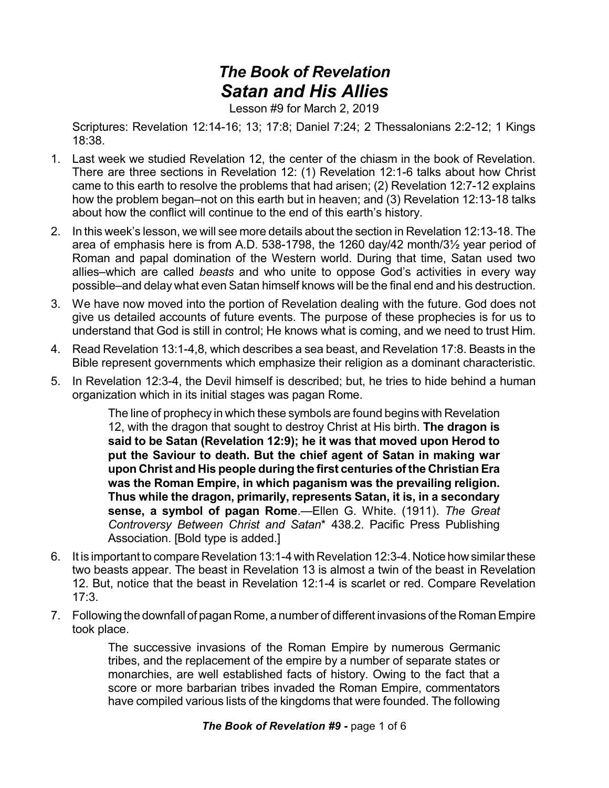## *The Book of Revelation Satan and His Allies*

Lesson #9 for March 2, 2019

Scriptures: Revelation 12:14-16; 13; 17:8; Daniel 7:24; 2 Thessalonians 2:2-12; 1 Kings 18:38.

- 1. Last week we studied Revelation 12, the center of the chiasm in the book of Revelation. There are three sections in Revelation 12: (1) Revelation 12:1-6 talks about how Christ came to this earth to resolve the problems that had arisen; (2) Revelation 12:7-12 explains how the problem began–not on this earth but in heaven; and (3) Revelation 12:13-18 talks about how the conflict will continue to the end of this earth's history.
- 2. In this week's lesson, we will see more details about the section in Revelation 12:13-18. The area of emphasis here is from A.D. 538-1798, the 1260 day/42 month/3½ year period of Roman and papal domination of the Western world. During that time, Satan used two allies–which are called *beasts* and who unite to oppose God's activities in every way possible–and delay what even Satan himself knows will be the final end and his destruction.
- 3. We have now moved into the portion of Revelation dealing with the future. God does not give us detailed accounts of future events. The purpose of these prophecies is for us to understand that God is still in control; He knows what is coming, and we need to trust Him.
- 4. Read Revelation 13:1-4,8, which describes a sea beast, and Revelation 17:8. Beasts in the Bible represent governments which emphasize their religion as a dominant characteristic.
- 5. In Revelation 12:3-4, the Devil himself is described; but, he tries to hide behind a human organization which in its initial stages was pagan Rome.

The line of prophecy in which these symbols are found begins with Revelation 12, with the dragon that sought to destroy Christ at His birth. **The dragon is said to be Satan (Revelation 12:9); he it was that moved upon Herod to put the Saviour to death. But the chief agent of Satan in making war upon Christ and His people during the first centuries of the Christian Era was the Roman Empire, in which paganism was the prevailing religion. Thus while the dragon, primarily, represents Satan, it is, in a secondary sense, a symbol of pagan Rome**.—Ellen G. White. (1911). *The Great Controversy Between Christ and Satan*\* 438.2. Pacific Press Publishing Association. [Bold type is added.]

- 6. It is important to compare Revelation 13:1-4 with Revelation 12:3-4. Notice howsimilar these two beasts appear. The beast in Revelation 13 is almost a twin of the beast in Revelation 12. But, notice that the beast in Revelation 12:1-4 is scarlet or red. Compare Revelation 17:3.
- 7. Following the downfall of pagan Rome, a number of different invasions of the RomanEmpire took place.

The successive invasions of the Roman Empire by numerous Germanic tribes, and the replacement of the empire by a number of separate states or monarchies, are well established facts of history. Owing to the fact that a score or more barbarian tribes invaded the Roman Empire, commentators have compiled various lists of the kingdoms that were founded. The following

## *The Book of Revelation #9* **-** page 1 of 6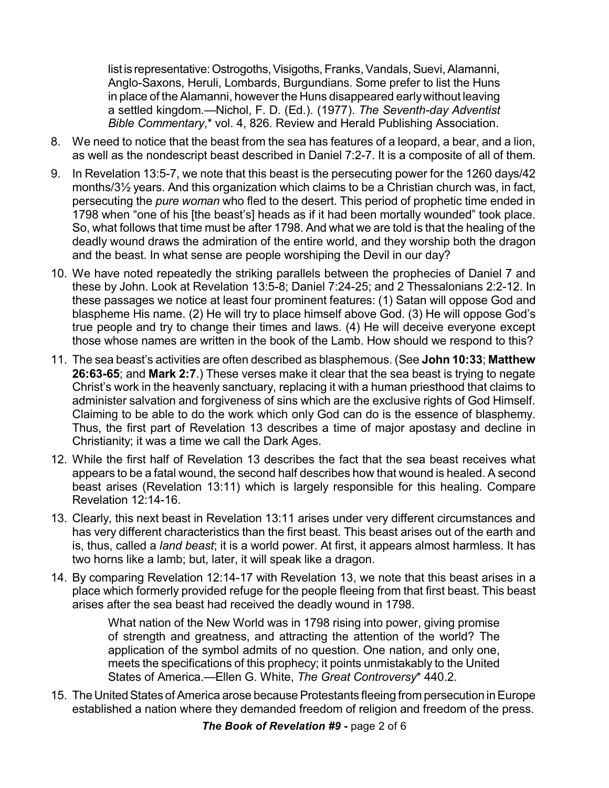list is representative: Ostrogoths, Visigoths, Franks, Vandals, Suevi, Alamanni, Anglo-Saxons, Heruli, Lombards, Burgundians. Some prefer to list the Huns in place of the Alamanni, however the Huns disappeared earlywithout leaving a settled kingdom.—Nichol, F. D. (Ed.). (1977). *The Seventh-day Adventist Bible Commentary*,\* vol. 4, 826. Review and Herald Publishing Association.

- 8. We need to notice that the beast from the sea has features of a leopard, a bear, and a lion, as well as the nondescript beast described in Daniel 7:2-7. It is a composite of all of them.
- 9. In Revelation 13:5-7, we note that this beast is the persecuting power for the 1260 days/42 months/3½ years. And this organization which claims to be a Christian church was, in fact, persecuting the *pure woman* who fled to the desert. This period of prophetic time ended in 1798 when "one of his [the beast's] heads as if it had been mortally wounded" took place. So, what follows that time must be after 1798. And what we are told is that the healing of the deadly wound draws the admiration of the entire world, and they worship both the dragon and the beast. In what sense are people worshiping the Devil in our day?
- 10. We have noted repeatedly the striking parallels between the prophecies of Daniel 7 and these by John. Look at Revelation 13:5-8; Daniel 7:24-25; and 2 Thessalonians 2:2-12. In these passages we notice at least four prominent features: (1) Satan will oppose God and blaspheme His name. (2) He will try to place himself above God. (3) He will oppose God's true people and try to change their times and laws. (4) He will deceive everyone except those whose names are written in the book of the Lamb. How should we respond to this?
- 11. The sea beast's activities are often described as blasphemous. (See **John 10:33**; **Matthew 26:63-65**; and **Mark 2:7**.) These verses make it clear that the sea beast is trying to negate Christ's work in the heavenly sanctuary, replacing it with a human priesthood that claims to administer salvation and forgiveness of sins which are the exclusive rights of God Himself. Claiming to be able to do the work which only God can do is the essence of blasphemy. Thus, the first part of Revelation 13 describes a time of major apostasy and decline in Christianity; it was a time we call the Dark Ages.
- 12. While the first half of Revelation 13 describes the fact that the sea beast receives what appears to be a fatal wound, the second half describes how that wound is healed. A second beast arises (Revelation 13:11) which is largely responsible for this healing. Compare Revelation 12:14-16.
- 13. Clearly, this next beast in Revelation 13:11 arises under very different circumstances and has very different characteristics than the first beast. This beast arises out of the earth and is, thus, called a *land beast*; it is a world power. At first, it appears almost harmless. It has two horns like a lamb; but, later, it will speak like a dragon.
- 14. By comparing Revelation 12:14-17 with Revelation 13, we note that this beast arises in a place which formerly provided refuge for the people fleeing from that first beast. This beast arises after the sea beast had received the deadly wound in 1798.

What nation of the New World was in 1798 rising into power, giving promise of strength and greatness, and attracting the attention of the world? The application of the symbol admits of no question. One nation, and only one, meets the specifications of this prophecy; it points unmistakably to the United States of America.—Ellen G. White, *The Great Controversy*\* 440.2.

15. The United States of America arose because Protestants fleeing from persecution in Europe established a nation where they demanded freedom of religion and freedom of the press.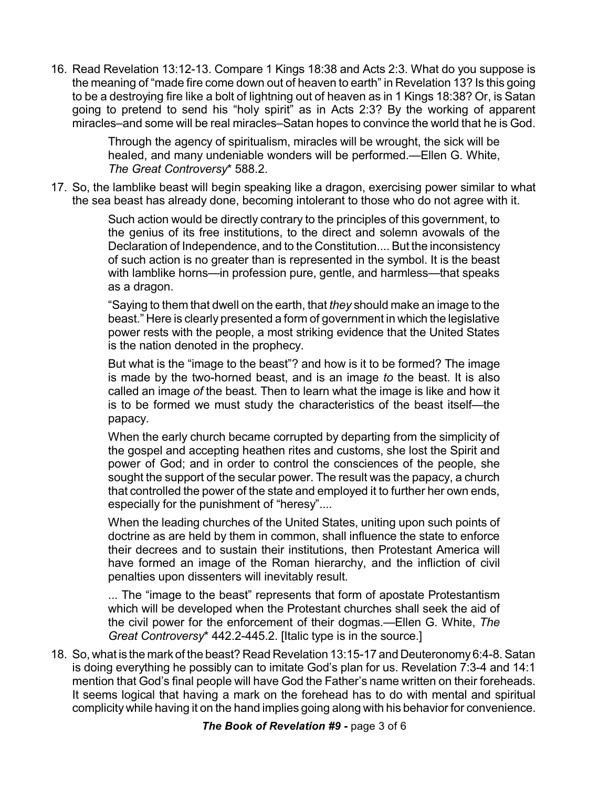16. Read Revelation 13:12-13. Compare 1 Kings 18:38 and Acts 2:3. What do you suppose is the meaning of "made fire come down out of heaven to earth" in Revelation 13? Is this going to be a destroying fire like a bolt of lightning out of heaven as in 1 Kings 18:38? Or, is Satan going to pretend to send his "holy spirit" as in Acts 2:3? By the working of apparent miracles–and some will be real miracles–Satan hopes to convince the world that he is God.

> Through the agency of spiritualism, miracles will be wrought, the sick will be healed, and many undeniable wonders will be performed.—Ellen G. White, *The Great Controversy*\* 588.2.

17. So, the lamblike beast will begin speaking like a dragon, exercising power similar to what the sea beast has already done, becoming intolerant to those who do not agree with it.

> Such action would be directly contrary to the principles of this government, to the genius of its free institutions, to the direct and solemn avowals of the Declaration of Independence, and to the Constitution.... But the inconsistency of such action is no greater than is represented in the symbol. It is the beast with lamblike horns—in profession pure, gentle, and harmless—that speaks as a dragon.

> "Saying to them that dwell on the earth, that *they* should make an image to the beast." Here is clearly presented a form of government in which the legislative power rests with the people, a most striking evidence that the United States is the nation denoted in the prophecy.

> But what is the "image to the beast"? and how is it to be formed? The image is made by the two-horned beast, and is an image *to* the beast. It is also called an image *of* the beast. Then to learn what the image is like and how it is to be formed we must study the characteristics of the beast itself—the papacy.

> When the early church became corrupted by departing from the simplicity of the gospel and accepting heathen rites and customs, she lost the Spirit and power of God; and in order to control the consciences of the people, she sought the support of the secular power. The result was the papacy, a church that controlled the power of the state and employed it to further her own ends, especially for the punishment of "heresy"....

> When the leading churches of the United States, uniting upon such points of doctrine as are held by them in common, shall influence the state to enforce their decrees and to sustain their institutions, then Protestant America will have formed an image of the Roman hierarchy, and the infliction of civil penalties upon dissenters will inevitably result.

> ... The "image to the beast" represents that form of apostate Protestantism which will be developed when the Protestant churches shall seek the aid of the civil power for the enforcement of their dogmas.—Ellen G. White, *The Great Controversy*\* 442.2-445.2. [Italic type is in the source.]

18. So, what is the mark of the beast? Read Revelation 13:15-17 and Deuteronomy 6:4-8.Satan is doing everything he possibly can to imitate God's plan for us. Revelation 7:3-4 and 14:1 mention that God's final people will have God the Father's name written on their foreheads. It seems logical that having a mark on the forehead has to do with mental and spiritual complicity while having it on the hand implies going along with his behavior for convenience.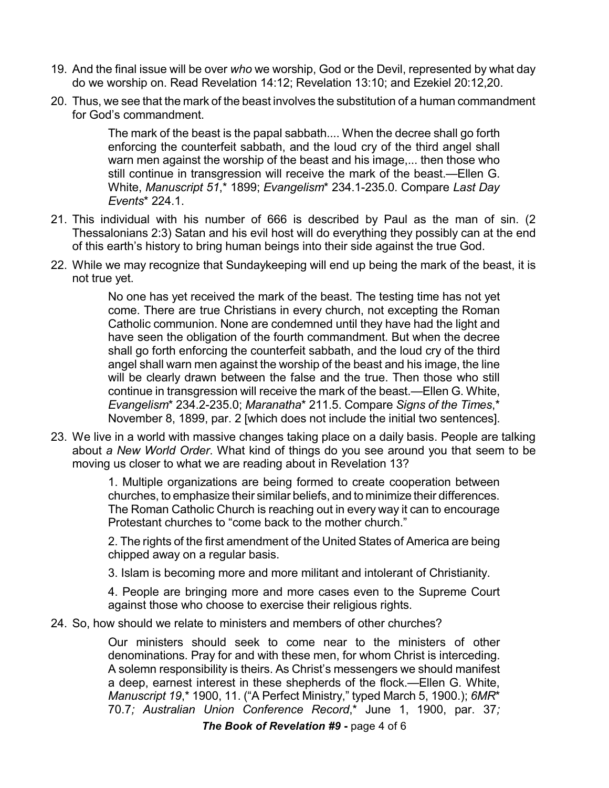- 19. And the final issue will be over *who* we worship, God or the Devil, represented by what day do we worship on. Read Revelation 14:12; Revelation 13:10; and Ezekiel 20:12,20.
- 20. Thus, we see that the mark of the beast involves the substitution of a human commandment for God's commandment.

The mark of the beast is the papal sabbath.... When the decree shall go forth enforcing the counterfeit sabbath, and the loud cry of the third angel shall warn men against the worship of the beast and his image.... then those who still continue in transgression will receive the mark of the beast.—Ellen G. White, *Manuscript 51*,\* 1899; *Evangelism*\* 234.1-235.0. Compare *Last Day Events*\* 224.1.

- 21. This individual with his number of 666 is described by Paul as the man of sin. (2 Thessalonians 2:3) Satan and his evil host will do everything they possibly can at the end of this earth's history to bring human beings into their side against the true God.
- 22. While we may recognize that Sundaykeeping will end up being the mark of the beast, it is not true yet.

No one has yet received the mark of the beast. The testing time has not yet come. There are true Christians in every church, not excepting the Roman Catholic communion. None are condemned until they have had the light and have seen the obligation of the fourth commandment. But when the decree shall go forth enforcing the counterfeit sabbath, and the loud cry of the third angel shall warn men against the worship of the beast and his image, the line will be clearly drawn between the false and the true. Then those who still continue in transgression will receive the mark of the beast.—Ellen G. White, *Evangelism*\* 234.2-235.0; *Maranatha*\* 211.5. Compare *Signs of the Times*,\* November 8, 1899, par. 2 [which does not include the initial two sentences].

23. We live in a world with massive changes taking place on a daily basis. People are talking about *a New World Order*. What kind of things do you see around you that seem to be moving us closer to what we are reading about in Revelation 13?

> 1. Multiple organizations are being formed to create cooperation between churches, to emphasize their similar beliefs, and to minimize their differences. The Roman Catholic Church is reaching out in every way it can to encourage Protestant churches to "come back to the mother church."

> 2. The rights of the first amendment of the United States of America are being chipped away on a regular basis.

3. Islam is becoming more and more militant and intolerant of Christianity.

4. People are bringing more and more cases even to the Supreme Court against those who choose to exercise their religious rights.

24. So, how should we relate to ministers and members of other churches?

Our ministers should seek to come near to the ministers of other denominations. Pray for and with these men, for whom Christ is interceding. A solemn responsibility is theirs. As Christ's messengers we should manifest a deep, earnest interest in these shepherds of the flock.—Ellen G. White, *Manuscript 19*,\* 1900, 11. ("A Perfect Ministry," typed March 5, 1900.); *6MR*\* 70.7*; Australian Union Conference Record*,\* June 1, 1900, par. 37*;*

*The Book of Revelation #9* **-** page 4 of 6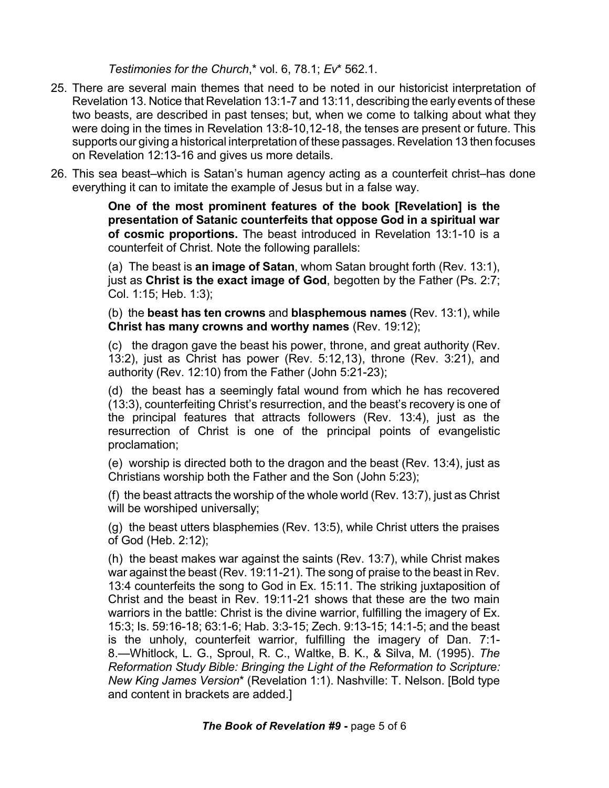*Testimonies for the Church*,\* vol. 6, 78.1; *Ev*\* 562.1.

- 25. There are several main themes that need to be noted in our historicist interpretation of Revelation 13. Notice that Revelation 13:1-7 and 13:11, describing the early events of these two beasts, are described in past tenses; but, when we come to talking about what they were doing in the times in Revelation 13:8-10,12-18, the tenses are present or future. This supports our giving a historical interpretation of these passages. Revelation 13 then focuses on Revelation 12:13-16 and gives us more details.
- 26. This sea beast–which is Satan's human agency acting as a counterfeit christ–has done everything it can to imitate the example of Jesus but in a false way.

**One of the most prominent features of the book [Revelation] is the presentation of Satanic counterfeits that oppose God in a spiritual war of cosmic proportions.** The beast introduced in Revelation 13:1-10 is a counterfeit of Christ. Note the following parallels:

(a) The beast is **an image of Satan**, whom Satan brought forth (Rev. 13:1), just as **Christ is the exact image of God**, begotten by the Father (Ps. 2:7; Col. 1:15; Heb. 1:3);

(b) the **beast has ten crowns** and **blasphemous names** (Rev. 13:1), while **Christ has many crowns and worthy names** (Rev. 19:12);

(c) the dragon gave the beast his power, throne, and great authority (Rev. 13:2), just as Christ has power (Rev. 5:12,13), throne (Rev. 3:21), and authority (Rev. 12:10) from the Father (John 5:21-23);

(d) the beast has a seemingly fatal wound from which he has recovered (13:3), counterfeiting Christ's resurrection, and the beast's recovery is one of the principal features that attracts followers (Rev. 13:4), just as the resurrection of Christ is one of the principal points of evangelistic proclamation;

(e) worship is directed both to the dragon and the beast (Rev. 13:4), just as Christians worship both the Father and the Son (John 5:23);

(f) the beast attracts the worship of the whole world (Rev. 13:7), just as Christ will be worshiped universally;

(g) the beast utters blasphemies (Rev. 13:5), while Christ utters the praises of God (Heb. 2:12);

(h) the beast makes war against the saints (Rev. 13:7), while Christ makes war against the beast (Rev. 19:11-21). The song of praise to the beast in Rev. 13:4 counterfeits the song to God in Ex. 15:11. The striking juxtaposition of Christ and the beast in Rev. 19:11-21 shows that these are the two main warriors in the battle: Christ is the divine warrior, fulfilling the imagery of Ex. 15:3; Is. 59:16-18; 63:1-6; Hab. 3:3-15; Zech. 9:13-15; 14:1-5; and the beast is the unholy, counterfeit warrior, fulfilling the imagery of Dan. 7:1- 8.—Whitlock, L. G., Sproul, R. C., Waltke, B. K., & Silva, M. (1995). *The Reformation Study Bible: Bringing the Light of the Reformation to Scripture: New King James Version*\* (Revelation 1:1). Nashville: T. Nelson. [Bold type and content in brackets are added.]